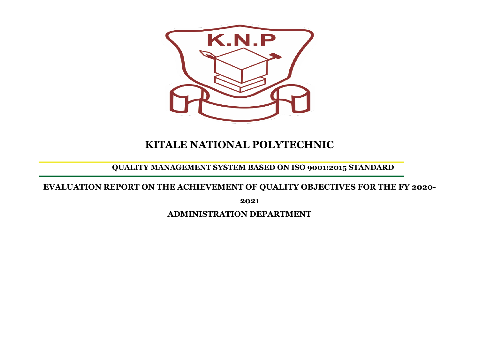

## **KITALE NATIONAL POLYTECHNIC**

**QUALITY MANAGEMENT SYSTEM BASED ON ISO 9001:2015 STANDARD**

**EVALUATION REPORT ON THE ACHIEVEMENT OF QUALITY OBJECTIVES FOR THE FY 2020-**

**2021**

**ADMINISTRATION DEPARTMENT**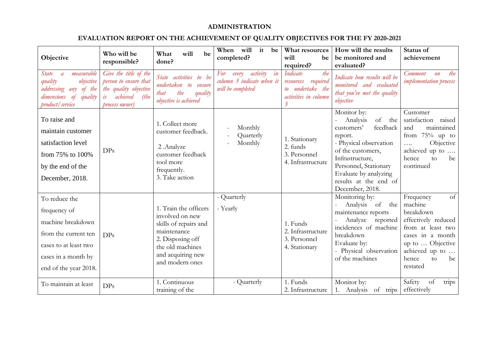## **ADMINISTRATION**

## **EVALUATION REPORT ON THE ACHIEVEMENT OF QUALITY OBJECTIVES FOR THE FY 2020-2021**

| Objective                                                                                                                                              | Who will be<br>responsible?                                                                                         | What<br>will<br>be<br>done?                                                                                                                                      | When<br>will<br>it<br>be<br>completed?                                           | What resources<br>will<br>be<br>required?                                                              | How will the results<br>be monitored and<br>evaluated?                                                                                                                                                                                    | Status of<br>achievement                                                                                                                                                               |
|--------------------------------------------------------------------------------------------------------------------------------------------------------|---------------------------------------------------------------------------------------------------------------------|------------------------------------------------------------------------------------------------------------------------------------------------------------------|----------------------------------------------------------------------------------|--------------------------------------------------------------------------------------------------------|-------------------------------------------------------------------------------------------------------------------------------------------------------------------------------------------------------------------------------------------|----------------------------------------------------------------------------------------------------------------------------------------------------------------------------------------|
| measurable<br><i>State</i><br>$\overline{a}$<br>quality<br>objective<br>addressing any of the<br>dimensions<br>$\circ$<br>quality<br>product / service | Give the title of the<br>person to ensure that<br>the quality objective<br>achieved<br>is<br>(the<br>process owner) | State activities to be<br>undertaken to<br>ensure<br>that<br>quality<br>the<br>objective is achieved                                                             | in<br>activity<br>For<br>every<br>column 3 indicate when it<br>will be completed | Indicate<br>the<br>required<br>resources<br>to undertake the<br>activities in column<br>$\mathfrak{Z}$ | Indicate how results will be<br>monitored and evaluated<br>that you've met the quality<br>objective                                                                                                                                       | the<br>Comment<br>$\omega$<br><i>implementation</i> process                                                                                                                            |
| To raise and<br>maintain customer<br>satisfaction level<br>from 75% to 100%<br>by the end of the<br>December, 2018.                                    | DPs                                                                                                                 | 1. Collect more<br>customer feedback.<br>2. Analyze<br>customer feedback<br>tool more<br>frequently.<br>3. Take action                                           | Monthly<br>Quarterly<br>Monthly                                                  | 1. Stationary<br>2. funds<br>3. Personnel<br>4. Infrastructure                                         | Monitor by:<br>of<br>the<br>Analysis<br>feedback<br>customers'<br>report.<br>- Physical observation<br>of the customers,<br>Infrastructure,<br>Personnel, Stationary<br>Evaluate by analyzing<br>results at the end of<br>December, 2018. | Customer<br>satisfaction<br>raised<br>and<br>maintained<br>from $75%$ up to<br>Objective<br>$\cdots$<br>achieved up to<br>hence<br>be<br>to<br>continued                               |
| To reduce the<br>frequency of<br>machine breakdown<br>from the current ten<br>cases to at least two<br>cases in a month by<br>end of the year 2018.    | DP <sub>S</sub>                                                                                                     | 1. Train the officers<br>involved on new<br>skills of repairs and<br>maintenance<br>2. Disposing off<br>the old machines<br>and acquiring new<br>and modern ones | - Quarterly<br>- Yearly                                                          | 1. Funds<br>2. Infrastructure<br>3. Personnel<br>4. Stationary                                         | Monitoring by:<br>Analysis of<br>the<br>maintenance reports<br>Analyze<br>reported<br>incidences of machine<br>breakdown<br>Evaluate by:<br>- Physical observation<br>of the machines                                                     | $\sigma$ f<br>Frequency<br>machine<br>breakdown<br>effectively reduced<br>from at least two<br>cases in a month<br>up to  Objective<br>achieved up to<br>hence<br>be<br>to<br>restated |
| To maintain at least                                                                                                                                   | DPs                                                                                                                 | 1. Continuous<br>training of the                                                                                                                                 | - Quarterly                                                                      | 1. Funds<br>2. Infrastructure                                                                          | Monitor by:<br>1. Analysis of trips                                                                                                                                                                                                       | Safety<br>of<br>trips<br>effectively                                                                                                                                                   |